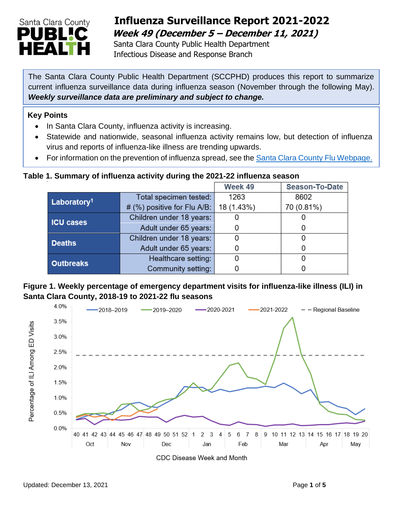

# **Influenza Surveillance Report 2021-2022 Week 49 (December 5 – December 11, 2021)**

 Santa Clara County Public Health Department Infectious Disease and Response Branch

The Santa Clara County Public Health Department (SCCPHD) produces this report to summarize current influenza surveillance data during influenza season (November through the following May). *Weekly surveillance data are preliminary and subject to change.* 

#### **Key Points**

- In Santa Clara County, influenza activity is increasing.
- Statewide and nationwide, seasonal influenza activity remains low, but detection of influenza virus and reports of influenza-like illness are trending upwards.
- For information on the prevention of influenza spread, see the [Santa Clara County Flu Webpage.](https://publichealth.sccgov.org/disease-information/influenza-flu)

#### **Table 1. Summary of influenza activity during the 2021-22 influenza season**

|                         |                             | Week 49    | <b>Season-To-Date</b> |
|-------------------------|-----------------------------|------------|-----------------------|
| Laboratory <sup>1</sup> | Total specimen tested:      | 1263       | 8602                  |
|                         | # (%) positive for Flu A/B: | 18 (1.43%) | 70 (0.81%)            |
| <b>ICU cases</b>        | Children under 18 years:    |            |                       |
|                         | Adult under 65 years:       |            |                       |
| <b>Deaths</b>           | Children under 18 years:    |            |                       |
|                         | Adult under 65 years:       |            |                       |
| <b>Outbreaks</b>        | Healthcare setting:         |            |                       |
|                         | Community setting:          |            |                       |

#### **Figure 1. Weekly percentage of emergency department visits for influenza-like illness (ILI) in Santa Clara County, 2018-19 to 2021-22 flu seasons**

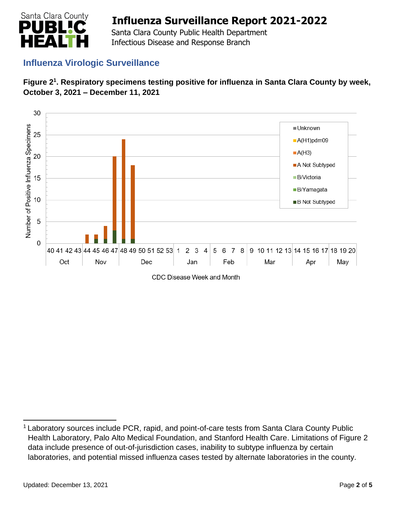

 Santa Clara County Public Health Department Infectious Disease and Response Branch

## **Influenza Virologic Surveillance**





CDC Disease Week and Month

<sup>1</sup> Laboratory sources include PCR, rapid, and point-of-care tests from Santa Clara County Public Health Laboratory, Palo Alto Medical Foundation, and Stanford Health Care. Limitations of Figure 2 data include presence of out-of-jurisdiction cases, inability to subtype influenza by certain laboratories, and potential missed influenza cases tested by alternate laboratories in the county.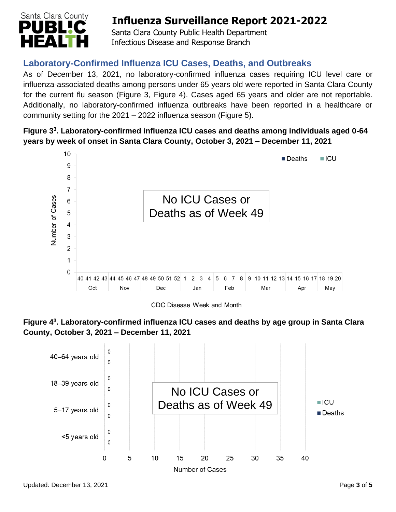

 Santa Clara County Public Health Department Infectious Disease and Response Branch

## **Laboratory-Confirmed Influenza ICU Cases, Deaths, and Outbreaks**

As of December 13, 2021, no laboratory-confirmed influenza cases requiring ICU level care or influenza-associated deaths among persons under 65 years old were reported in Santa Clara County for the current flu season (Figure 3, Figure 4). Cases aged 65 years and older are not reportable. Additionally, no laboratory-confirmed influenza outbreaks have been reported in a healthcare or community setting for the 2021 – 2022 influenza season (Figure 5).

### **Figure 3 3 . Laboratory-confirmed influenza ICU cases and deaths among individuals aged 0-64 years by week of onset in Santa Clara County, October 3, 2021 – December 11, 2021**



CDC Disease Week and Month



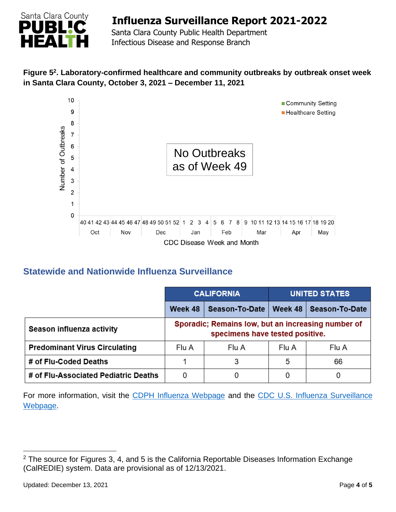

 Santa Clara County Public Health Department Infectious Disease and Response Branch

### **Figure 5 2 . Laboratory-confirmed healthcare and community outbreaks by outbreak onset week in Santa Clara County, October 3, 2021 – December 11, 2021**



### **Statewide and Nationwide Influenza Surveillance**

|                                      | <b>CALIFORNIA</b>                                                                     |                | <b>UNITED STATES</b> |                |  |
|--------------------------------------|---------------------------------------------------------------------------------------|----------------|----------------------|----------------|--|
|                                      | Week 48                                                                               | Season-To-Date | Week 48              | Season-To-Date |  |
| Season influenza activity            | Sporadic; Remains low, but an increasing number of<br>specimens have tested positive. |                |                      |                |  |
| <b>Predominant Virus Circulating</b> | Flu A                                                                                 | Flu A          | Flu A                | Flu A          |  |
| # of Flu-Coded Deaths                |                                                                                       | 3              | 5                    | 66             |  |
| # of Flu-Associated Pediatric Deaths | 0                                                                                     |                |                      |                |  |

For more information, visit the [CDPH Influenza Webpage](http://www.cdph.ca.gov/Programs/CID/DCDC/Pages/Immunization/Influenza.aspx) and the CDC U.S. Influenza Surveillance [Webpage.](http://www.cdc.gov/flu/weekly/)

 $2$  The source for Figures 3, 4, and 5 is the California Reportable Diseases Information Exchange (CalREDIE) system. Data are provisional as of 12/13/2021.